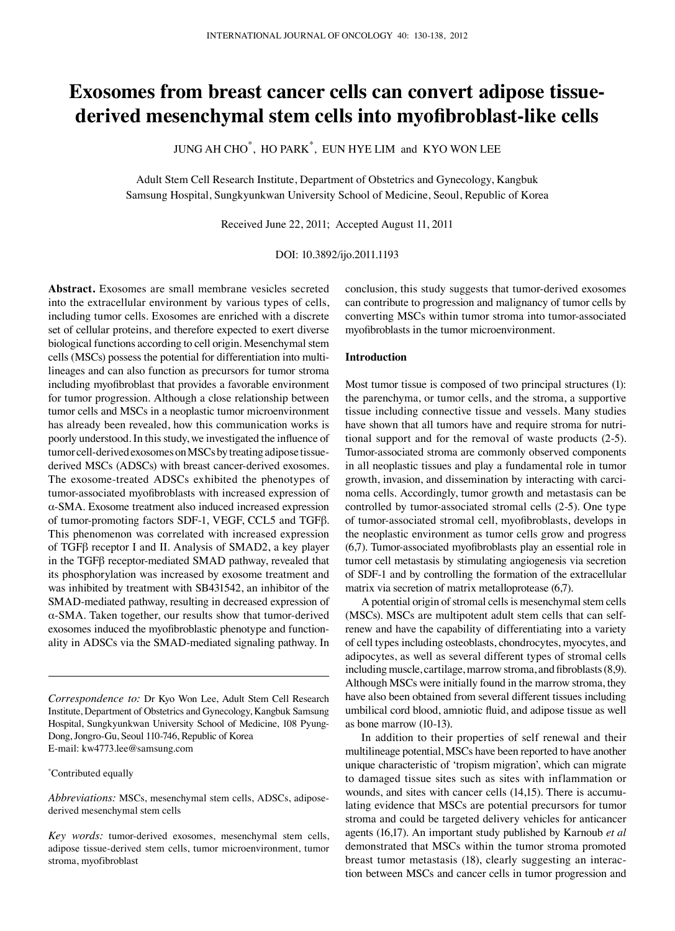# **Exosomes from breast cancer cells can convert adipose tissuederived mesenchymal stem cells into myofibroblast-like cells**

JUNG AH CHO $^*$ , HO PARK $^*$ , EUN HYE LIM and KYO WON LE

Adult Stem Cell Research Institute, Department of Obstetrics and Gynecology, Kangbuk Samsung Hospital, Sungkyunkwan University School of Medicine, Seoul, Republic of Korea

Received June 22, 2011; Accepted August 11, 2011

DOI: 10.3892/ijo.2011.1193

**Abstract.** Exosomes are small membrane vesicles secreted into the extracellular environment by various types of cells, including tumor cells. Exosomes are enriched with a discrete set of cellular proteins, and therefore expected to exert diverse biological functions according to cell origin. Mesenchymal stem cells (MSCs) possess the potential for differentiation into multilineages and can also function as precursors for tumor stroma including myofibroblast that provides a favorable environment for tumor progression. Although a close relationship between tumor cells and MSCs in a neoplastic tumor microenvironment has already been revealed, how this communication works is poorly understood. In this study, we investigated the influence of tumor cell-derived exosomes on MSCs by treating adipose tissuederived MSCs (ADSCs) with breast cancer-derived exosomes. The exosome-treated ADSCs exhibited the phenotypes of tumor-associated myofibroblasts with increased expression of α-SMA. Exosome treatment also induced increased expression of tumor-promoting factors SDF-1, VEGF, CCL5 and TGFβ. This phenomenon was correlated with increased expression of TGFβ receptor I and II. Analysis of SMAD2, a key player in the TGFβ receptor-mediated SMAD pathway, revealed that its phosphorylation was increased by exosome treatment and was inhibited by treatment with SB431542, an inhibitor of the SMAD-mediated pathway, resulting in decreased expression of α-SMA. Taken together, our results show that tumor-derived exosomes induced the myofibroblastic phenotype and functionality in ADSCs via the SMAD-mediated signaling pathway. In

\* Contributed equally

conclusion, this study suggests that tumor-derived exosomes can contribute to progression and malignancy of tumor cells by converting MSCs within tumor stroma into tumor-associated myofibroblasts in the tumor microenvironment.

## **Introduction**

Most tumor tissue is composed of two principal structures (1): the parenchyma, or tumor cells, and the stroma, a supportive tissue including connective tissue and vessels. Many studies have shown that all tumors have and require stroma for nutritional support and for the removal of waste products (2-5). Tumor-associated stroma are commonly observed components in all neoplastic tissues and play a fundamental role in tumor growth, invasion, and dissemination by interacting with carcinoma cells. Accordingly, tumor growth and metastasis can be controlled by tumor-associated stromal cells (2-5). One type of tumor-associated stromal cell, myofibroblasts, develops in the neoplastic environment as tumor cells grow and progress (6,7). Tumor-associated myofibroblasts play an essential role in tumor cell metastasis by stimulating angiogenesis via secretion of SDF-1 and by controlling the formation of the extracellular matrix via secretion of matrix metalloprotease (6,7).

A potential origin of stromal cells is mesenchymal stem cells (MSCs). MSCs are multipotent adult stem cells that can selfrenew and have the capability of differentiating into a variety of cell types including osteoblasts, chondrocytes, myocytes, and adipocytes, as well as several different types of stromal cells including muscle, cartilage, marrow stroma, and fibroblasts (8,9). Although MSCs were initially found in the marrow stroma, they have also been obtained from several different tissues including umbilical cord blood, amniotic fluid, and adipose tissue as well as bone marrow (10-13).

In addition to their properties of self renewal and their multilineage potential, MSCs have been reported to have another unique characteristic of 'tropism migration', which can migrate to damaged tissue sites such as sites with inflammation or wounds, and sites with cancer cells (14,15). There is accumulating evidence that MSCs are potential precursors for tumor stroma and could be targeted delivery vehicles for anticancer agents (16,17). An important study published by Karnoub *et al*  demonstrated that MSCs within the tumor stroma promoted breast tumor metastasis (18), clearly suggesting an interaction between MSCs and cancer cells in tumor progression and

*Correspondence to:* Dr Kyo Won Lee, Adult Stem Cell Research Institute, Department of Obstetrics and Gynecology, Kangbuk Samsung Hospital, Sungkyunkwan University School of Medicine, 108 Pyung-Dong, Jongro-Gu, Seoul 110-746, Republic of Korea E-mail: kw4773.lee@samsung.com

*Abbreviations:* MSCs, mesenchymal stem cells, ADSCs, adiposederived mesenchymal stem cells

*Key words:* tumor-derived exosomes, mesenchymal stem cells, adipose tissue-derived stem cells, tumor microenvironment, tumor stroma, myofibroblast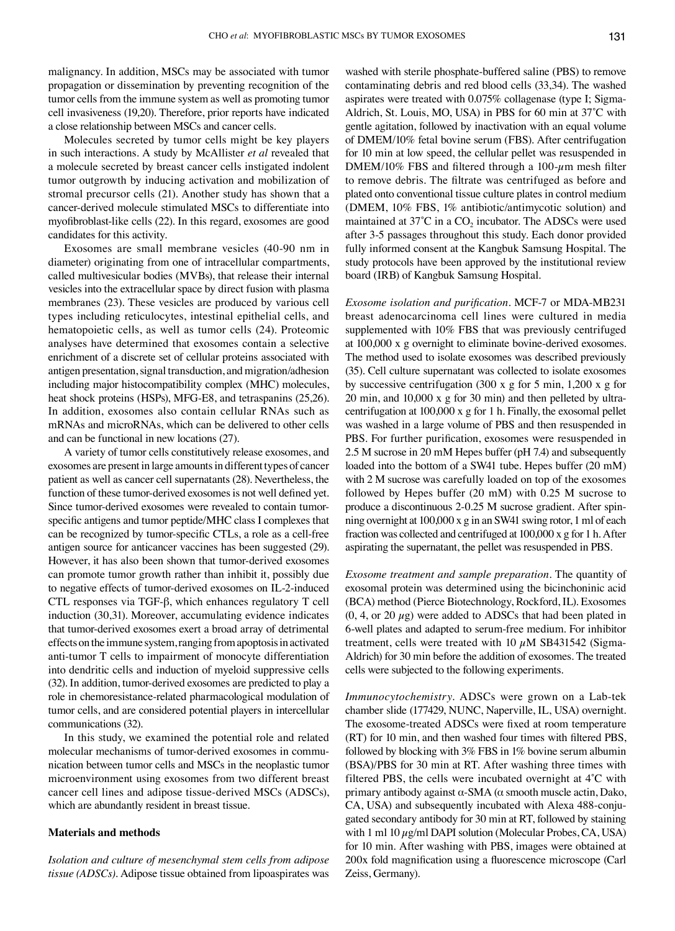malignancy. In addition, MSCs may be associated with tumor propagation or dissemination by preventing recognition of the tumor cells from the immune system as well as promoting tumor cell invasiveness (19,20). Therefore, prior reports have indicated a close relationship between MSCs and cancer cells.

Molecules secreted by tumor cells might be key players in such interactions. A study by McAllister *et al* revealed that a molecule secreted by breast cancer cells instigated indolent tumor outgrowth by inducing activation and mobilization of stromal precursor cells (21). Another study has shown that a cancer-derived molecule stimulated MSCs to differentiate into myofibroblast-like cells (22). In this regard, exosomes are good candidates for this activity.

Exosomes are small membrane vesicles (40-90 nm in diameter) originating from one of intracellular compartments, called multivesicular bodies (MVBs), that release their internal vesicles into the extracellular space by direct fusion with plasma membranes (23). These vesicles are produced by various cell types including reticulocytes, intestinal epithelial cells, and hematopoietic cells, as well as tumor cells (24). Proteomic analyses have determined that exosomes contain a selective enrichment of a discrete set of cellular proteins associated with antigen presentation, signal transduction, and migration/adhesion including major histocompatibility complex (MHC) molecules, heat shock proteins (HSPs), MFG-E8, and tetraspanins (25,26). In addition, exosomes also contain cellular RNAs such as mRNAs and microRNAs, which can be delivered to other cells and can be functional in new locations (27).

A variety of tumor cells constitutively release exosomes, and exosomes are present in large amounts in different types of cancer patient as well as cancer cell supernatants (28). Nevertheless, the function of these tumor-derived exosomes is not well defined yet. Since tumor-derived exosomes were revealed to contain tumorspecific antigens and tumor peptide/MHC class I complexes that can be recognized by tumor-specific CTLs, a role as a cell-free antigen source for anticancer vaccines has been suggested (29). However, it has also been shown that tumor-derived exosomes can promote tumor growth rather than inhibit it, possibly due to negative effects of tumor-derived exosomes on IL-2-induced CTL responses via TGF-β, which enhances regulatory T cell induction (30,31). Moreover, accumulating evidence indicates that tumor-derived exosomes exert a broad array of detrimental effects on the immune system, ranging from apoptosis in activated anti-tumor T cells to impairment of monocyte differentiation into dendritic cells and induction of myeloid suppressive cells (32). In addition, tumor-derived exosomes are predicted to play a role in chemoresistance-related pharmacological modulation of tumor cells, and are considered potential players in intercellular communications (32).

In this study, we examined the potential role and related molecular mechanisms of tumor-derived exosomes in communication between tumor cells and MSCs in the neoplastic tumor microenvironment using exosomes from two different breast cancer cell lines and adipose tissue-derived MSCs (ADSCs), which are abundantly resident in breast tissue.

#### **Materials and methods**

*Isolation and culture of mesenchymal stem cells from adipose tissue (ADSCs).* Adipose tissue obtained from lipoaspirates was

washed with sterile phosphate-buffered saline (PBS) to remove contaminating debris and red blood cells (33,34). The washed aspirates were treated with 0.075% collagenase (type I; Sigma-Aldrich, St. Louis, MO, USA) in PBS for 60 min at 37˚C with gentle agitation, followed by inactivation with an equal volume of DMEM/10% fetal bovine serum (FBS). After centrifugation for 10 min at low speed, the cellular pellet was resuspended in DMEM/10% FBS and filtered through a 100- $\mu$ m mesh filter to remove debris. The filtrate was centrifuged as before and plated onto conventional tissue culture plates in control medium (DMEM, 10% FBS, 1% antibiotic/antimycotic solution) and maintained at  $37^{\circ}$ C in a CO<sub>2</sub> incubator. The ADSCs were used after 3-5 passages throughout this study. Each donor provided fully informed consent at the Kangbuk Samsung Hospital. The study protocols have been approved by the institutional review board (IRB) of Kangbuk Samsung Hospital.

*Exosome isolation and purification.* MCF-7 or MDA-MB231 breast adenocarcinoma cell lines were cultured in media supplemented with 10% FBS that was previously centrifuged at 100,000 x g overnight to eliminate bovine-derived exosomes. The method used to isolate exosomes was described previously (35). Cell culture supernatant was collected to isolate exosomes by successive centrifugation (300 x g for 5 min, 1,200 x g for 20 min, and 10,000 x g for 30 min) and then pelleted by ultracentrifugation at 100,000 x g for 1 h. Finally, the exosomal pellet was washed in a large volume of PBS and then resuspended in PBS. For further purification, exosomes were resuspended in 2.5 M sucrose in 20 mM Hepes buffer (pH 7.4) and subsequently loaded into the bottom of a SW41 tube. Hepes buffer (20 mM) with 2 M sucrose was carefully loaded on top of the exosomes followed by Hepes buffer (20 mM) with 0.25 M sucrose to produce a discontinuous 2-0.25 M sucrose gradient. After spinning overnight at 100,000 x g in an SW41 swing rotor, 1 ml of each fraction was collected and centrifuged at 100,000 x g for 1 h. After aspirating the supernatant, the pellet was resuspended in PBS.

*Exosome treatment and sample preparation.* The quantity of exosomal protein was determined using the bicinchoninic acid (BCA) method (Pierce Biotechnology, Rockford, IL). Exosomes  $(0, 4, \text{or } 20 \mu g)$  were added to ADSCs that had been plated in 6-well plates and adapted to serum-free medium. For inhibitor treatment, cells were treated with 10  $\mu$ M SB431542 (Sigma-Aldrich) for 30 min before the addition of exosomes. The treated cells were subjected to the following experiments.

*Immunocytochemistry.* ADSCs were grown on a Lab-tek chamber slide (177429, NUNC, Naperville, IL, USA) overnight. The exosome-treated ADSCs were fixed at room temperature (RT) for 10 min, and then washed four times with filtered PBS, followed by blocking with 3% FBS in 1% bovine serum albumin (BSA)/PBS for 30 min at RT. After washing three times with filtered PBS, the cells were incubated overnight at 4˚C with primary antibody against α-SMA (α smooth muscle actin, Dako, CA, USA) and subsequently incubated with Alexa 488-conjugated secondary antibody for 30 min at RT, followed by staining with 1 ml  $10 \mu g/ml$  DAPI solution (Molecular Probes, CA, USA) for 10 min. After washing with PBS, images were obtained at 200x fold magnification using a fluorescence microscope (Carl Zeiss, Germany).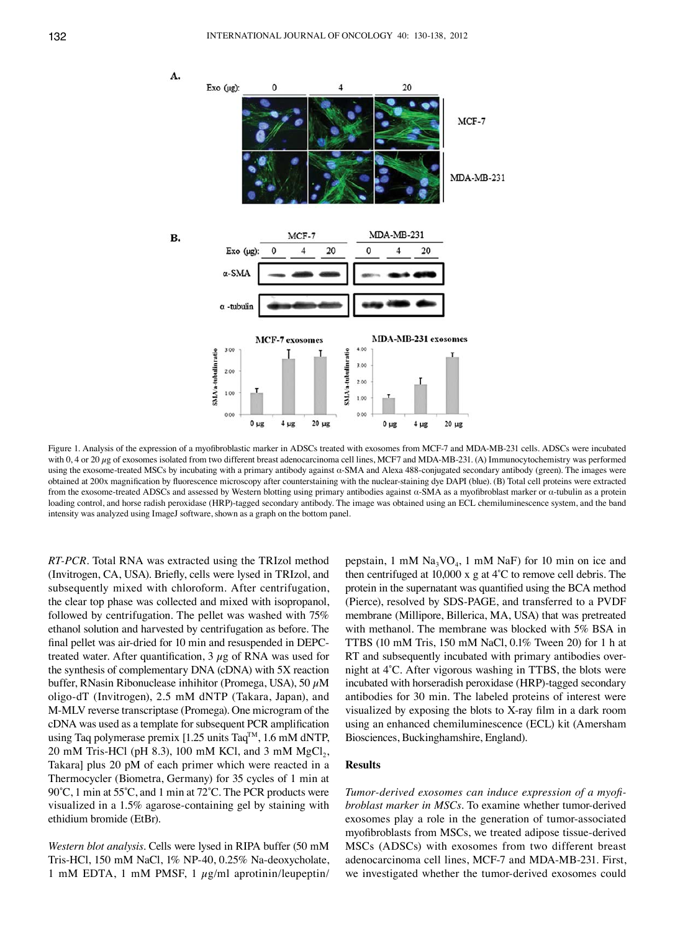

Figure 1. Analysis of the expression of a myofibroblastic marker in ADSCs treated with exosomes from MCF-7 and MDA-MB-231 cells. ADSCs were incubated with 0, 4 or 20  $\mu$ g of exosomes isolated from two different breast adenocarcinoma cell lines, MCF7 and MDA-MB-231. (A) Immunocytochemistry was performed using the exosome-treated MSCs by incubating with a primary antibody against α-SMA and Alexa 488-conjugated secondary antibody (green). The images were obtained at 200x magnification by fluorescence microscopy after counterstaining with the nuclear-staining dye DAPI (blue). (B) Total cell proteins were extracted from the exosome-treated ADSCs and assessed by Western blotting using primary antibodies against α-SMA as a myofibroblast marker or α-tubulin as a protein loading control, and horse radish peroxidase (HRP)-tagged secondary antibody. The image was obtained using an ECL chemiluminescence system, and the band intensity was analyzed using ImageJ software, shown as a graph on the bottom panel.

*RT-PCR.* Total RNA was extracted using the TRIzol method (Invitrogen, CA, USA). Briefly, cells were lysed in TRIzol, and subsequently mixed with chloroform. After centrifugation, the clear top phase was collected and mixed with isopropanol, followed by centrifugation. The pellet was washed with 75% ethanol solution and harvested by centrifugation as before. The final pellet was air-dried for 10 min and resuspended in DEPCtreated water. After quantification,  $3 \mu$ g of RNA was used for the synthesis of complementary DNA (cDNA) with 5X reaction buffer, RNasin Ribonuclease inhihitor (Promega, USA), 50  $\mu$ M oligo-dT (Invitrogen), 2.5 mM dNTP (Takara, Japan), and M-MLV reverse transcriptase (Promega). One microgram of the cDNA was used as a template for subsequent PCR amplification using Taq polymerase premix [1.25 units Taq<sup>TM</sup>, 1.6 mM dNTP, 20 mM Tris-HCl (pH 8.3), 100 mM KCl, and 3 mM  $MgCl<sub>2</sub>$ , Takara] plus 20 pM of each primer which were reacted in a Thermocycler (Biometra, Germany) for 35 cycles of 1 min at 90°C, 1 min at 55°C, and 1 min at 72°C. The PCR products were visualized in a 1.5% agarose-containing gel by staining with ethidium bromide (EtBr).

*Western blot analysis.* Cells were lysed in RIPA buffer (50 mM Tris-HCl, 150 mM NaCl, 1% NP-40, 0.25% Na-deoxycholate, 1 mM EDTA, 1 mM PMSF, 1  $\mu$ g/ml aprotinin/leupeptin/

pepstain, 1 mM  $\text{Na}_3\text{VO}_4$ , 1 mM  $\text{Na}$ F) for 10 min on ice and then centrifuged at 10,000 x g at 4˚C to remove cell debris. The protein in the supernatant was quantified using the BCA method (Pierce), resolved by SDS-PAGE, and transferred to a PVDF membrane (Millipore, Billerica, MA, USA) that was pretreated with methanol. The membrane was blocked with 5% BSA in TTBS (10 mM Tris, 150 mM NaCl, 0.1% Tween 20) for 1 h at RT and subsequently incubated with primary antibodies overnight at 4˚C. After vigorous washing in TTBS, the blots were incubated with horseradish peroxidase (HRP)-tagged secondary antibodies for 30 min. The labeled proteins of interest were visualized by exposing the blots to X-ray film in a dark room using an enhanced chemiluminescence (ECL) kit (Amersham Biosciences, Buckinghamshire, England).

# **Results**

*Tumor-derived exosomes can induce expression of a myofibroblast marker in MSCs.* To examine whether tumor-derived exosomes play a role in the generation of tumor-associated myofibroblasts from MSCs, we treated adipose tissue-derived MSCs (ADSCs) with exosomes from two different breast adenocarcinoma cell lines, MCF-7 and MDA-MB-231. First, we investigated whether the tumor-derived exosomes could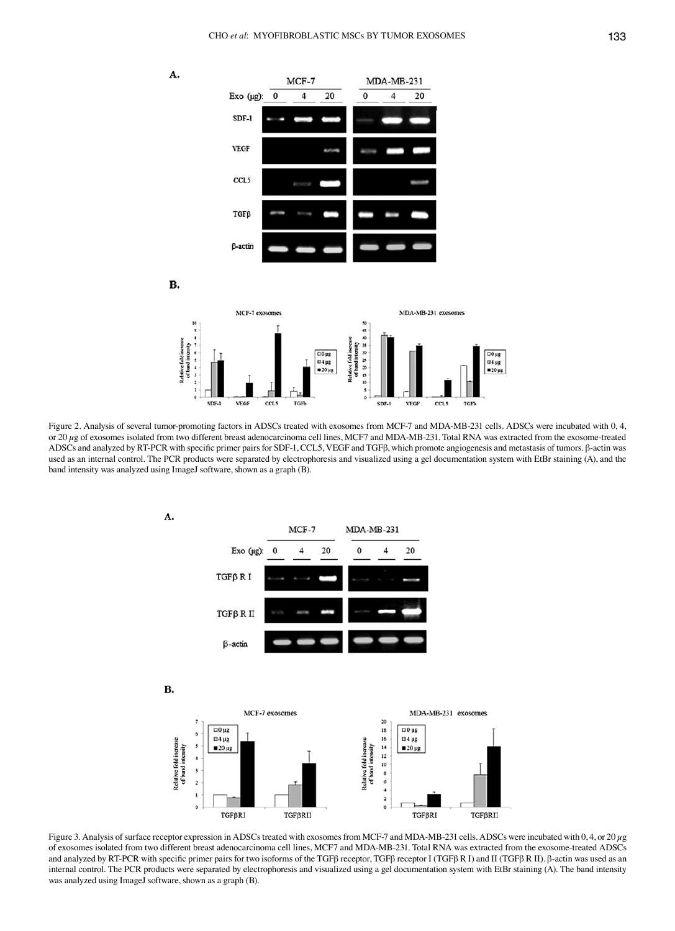







Figure 2. Analysis of several tumor-promoting factors in ADSCs treated with exosomes from MCF-7 and MDA-MB-231 cells. ADSCs were incubated with 0, 4, or 20  $\mu$ g of exosomes isolated from two different breast adenocarcinoma cell lines, MCF7 and MDA-MB-231. Total RNA was extracted from the exosome-treated ADSCs and analyzed by RT-PCR with specific primer pairs for SDF-1, CCL5, VEGF and TGFβ, which promote angiogenesis and metastasis of tumors. β-actin was used as an internal control. The PCR products were separated by electrophoresis and visualized using a gel documentation system with EtBr staining (A), and the band intensity was analyzed using ImageJ software, shown as a graph (B).



Figure 3. Analysis of surface receptor expression in ADSCs treated with exosomes from MCF-7 and MDA-MB-231 cells. ADSCs were incubated with 0, 4, or 20  $\mu$ g of exosomes isolated from two different breast adenocarcinoma cell lines, MCF7 and MDA-MB-231. Total RNA was extracted from the exosome-treated ADSCs and analyzed by RT-PCR with specific primer pairs for two isoforms of the TGFβ receptor, TGFβ receptor I (TGFβ R I) and II (TGFβ R II). β-actin was used as an internal control. The PCR products were separated by electrophoresis and visualized using a gel documentation system with EtBr staining (A). The band intensity was analyzed using ImageJ software, shown as a graph (B).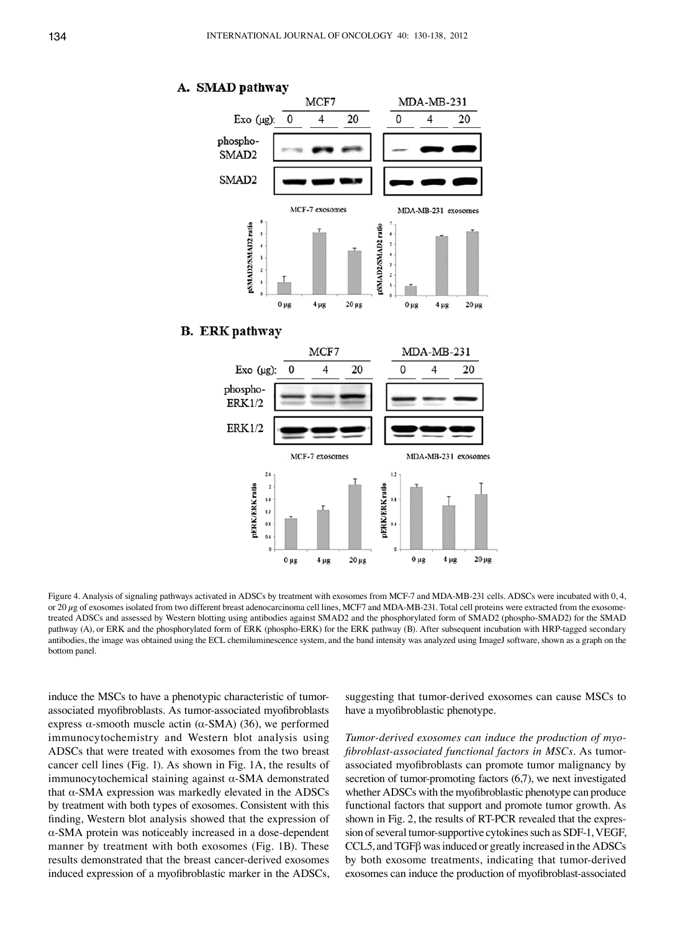

# **B.** ERK pathway



Figure 4. Analysis of signaling pathways activated in ADSCs by treatment with exosomes from MCF-7 and MDA-MB-231 cells. ADSCs were incubated with 0, 4, or 20  $\mu$ g of exosomes isolated from two different breast adenocarcinoma cell lines, MCF7 and MDA-MB-231. Total cell proteins were extracted from the exosometreated ADSCs and assessed by Western blotting using antibodies against SMAD2 and the phosphorylated form of SMAD2 (phospho-SMAD2) for the SMAD pathway (A), or ERK and the phosphorylated form of ERK (phospho-ERK) for the ERK pathway (B). After subsequent incubation with HRP-tagged secondary antibodies, the image was obtained using the ECL chemiluminescence system, and the band intensity was analyzed using ImageJ software, shown as a graph on the bottom panel.

induce the MSCs to have a phenotypic characteristic of tumorassociated myofibroblasts. As tumor-associated myofibroblasts express α-smooth muscle actin ( $α$ -SMA) (36), we performed immunocytochemistry and Western blot analysis using ADSCs that were treated with exosomes from the two breast cancer cell lines (Fig. 1). As shown in Fig. 1A, the results of immunocytochemical staining against  $\alpha$ -SMA demonstrated that  $α$ -SMA expression was markedly elevated in the ADSCs by treatment with both types of exosomes. Consistent with this finding, Western blot analysis showed that the expression of α-SMA protein was noticeably increased in a dose-dependent manner by treatment with both exosomes (Fig. 1B). These results demonstrated that the breast cancer-derived exosomes induced expression of a myofibroblastic marker in the ADSCs,

suggesting that tumor-derived exosomes can cause MSCs to have a myofibroblastic phenotype.

*Tumor-derived exosomes can induce the production of myofibroblast-associated functional factors in MSCs.* As tumorassociated myofibroblasts can promote tumor malignancy by secretion of tumor-promoting factors (6,7), we next investigated whether ADSCs with the myofibroblastic phenotype can produce functional factors that support and promote tumor growth. As shown in Fig. 2, the results of RT-PCR revealed that the expression of several tumor-supportive cytokines such as SDF-1, VEGF, CCL5, and TGFβ was induced or greatly increased in the ADSCs by both exosome treatments, indicating that tumor-derived exosomes can induce the production of myofibroblast-associated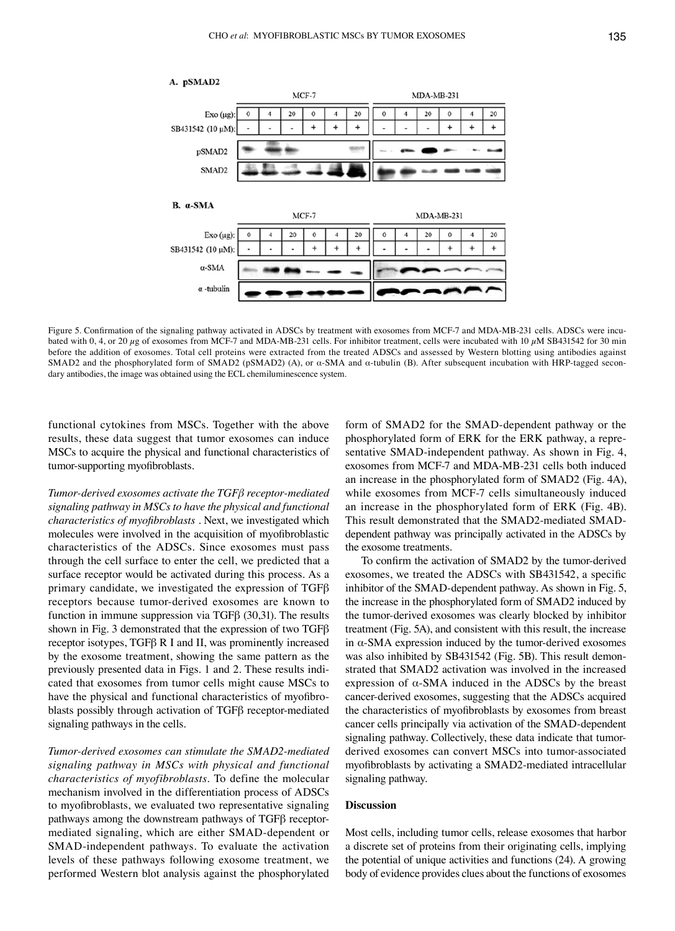

#### A. pSMAD2

Figure 5. Confirmation of the signaling pathway activated in ADSCs by treatment with exosomes from MCF-7 and MDA-MB-231 cells. ADSCs were incubated with 0, 4, or 20  $\mu$ g of exosomes from MCF-7 and MDA-MB-231 cells. For inhibitor treatment, cells were incubated with 10  $\mu$ M SB431542 for 30 min before the addition of exosomes. Total cell proteins were extracted from the treated ADSCs and assessed by Western blotting using antibodies against SMAD2 and the phosphorylated form of SMAD2 (pSMAD2) (A), or α-SMA and α-tubulin (B). After subsequent incubation with HRP-tagged secondary antibodies, the image was obtained using the ECL chemiluminescence system.

functional cytokines from MSCs. Together with the above results, these data suggest that tumor exosomes can induce MSCs to acquire the physical and functional characteristics of tumor-supporting myofibroblasts.

*Tumor-derived exosomes activate the TGFβ receptor-mediated signaling pathway in MSCs to have the physical and functional characteristics of myofibroblasts .* Next, we investigated which molecules were involved in the acquisition of myofibroblastic characteristics of the ADSCs. Since exosomes must pass through the cell surface to enter the cell, we predicted that a surface receptor would be activated during this process. As a primary candidate, we investigated the expression of TGFβ receptors because tumor-derived exosomes are known to function in immune suppression via TGFβ (30,31). The results shown in Fig. 3 demonstrated that the expression of two TGFβ receptor isotypes, TGFβ R I and II, was prominently increased by the exosome treatment, showing the same pattern as the previously presented data in Figs. 1 and 2. These results indicated that exosomes from tumor cells might cause MSCs to have the physical and functional characteristics of myofibroblasts possibly through activation of TGFβ receptor-mediated signaling pathways in the cells.

*Tumor-derived exosomes can stimulate the SMAD2-mediated signaling pathway in MSCs with physical and functional characteristics of myofibroblasts.* To define the molecular mechanism involved in the differentiation process of ADSCs to myofibroblasts, we evaluated two representative signaling pathways among the downstream pathways of TGFβ receptormediated signaling, which are either SMAD-dependent or SMAD-independent pathways. To evaluate the activation levels of these pathways following exosome treatment, we performed Western blot analysis against the phosphorylated form of SMAD2 for the SMAD-dependent pathway or the phosphorylated form of ERK for the ERK pathway, a representative SMAD-independent pathway. As shown in Fig. 4, exosomes from MCF-7 and MDA-MB-231 cells both induced an increase in the phosphorylated form of SMAD2 (Fig. 4A), while exosomes from MCF-7 cells simultaneously induced an increase in the phosphorylated form of ERK (Fig. 4B). This result demonstrated that the SMAD2-mediated SMADdependent pathway was principally activated in the ADSCs by the exosome treatments.

To confirm the activation of SMAD2 by the tumor-derived exosomes, we treated the ADSCs with SB431542, a specific inhibitor of the SMAD-dependent pathway. As shown in Fig. 5, the increase in the phosphorylated form of SMAD2 induced by the tumor-derived exosomes was clearly blocked by inhibitor treatment (Fig. 5A), and consistent with this result, the increase in α-SMA expression induced by the tumor-derived exosomes was also inhibited by SB431542 (Fig. 5B). This result demonstrated that SMAD2 activation was involved in the increased expression of  $\alpha$ -SMA induced in the ADSCs by the breast cancer-derived exosomes, suggesting that the ADSCs acquired the characteristics of myofibroblasts by exosomes from breast cancer cells principally via activation of the SMAD-dependent signaling pathway. Collectively, these data indicate that tumorderived exosomes can convert MSCs into tumor-associated myofibroblasts by activating a SMAD2-mediated intracellular signaling pathway.

### **Discussion**

Most cells, including tumor cells, release exosomes that harbor a discrete set of proteins from their originating cells, implying the potential of unique activities and functions (24). A growing body of evidence provides clues about the functions of exosomes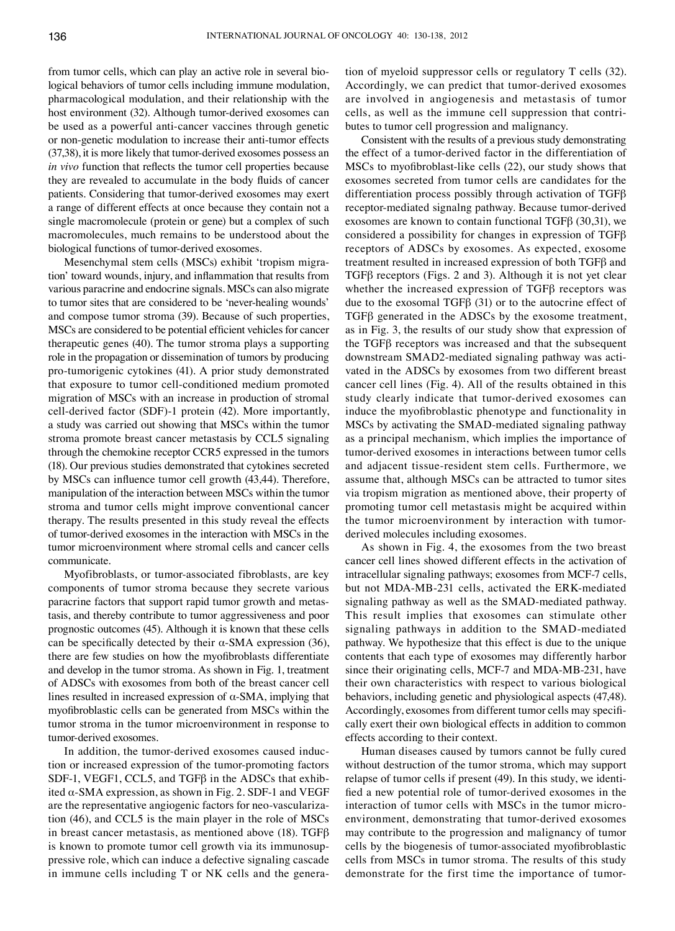from tumor cells, which can play an active role in several biological behaviors of tumor cells including immune modulation, pharmacological modulation, and their relationship with the host environment (32). Although tumor-derived exosomes can be used as a powerful anti-cancer vaccines through genetic or non-genetic modulation to increase their anti-tumor effects (37,38), it is more likely that tumor-derived exosomes possess an *in vivo* function that reflects the tumor cell properties because they are revealed to accumulate in the body fluids of cancer patients. Considering that tumor-derived exosomes may exert a range of different effects at once because they contain not a single macromolecule (protein or gene) but a complex of such macromolecules, much remains to be understood about the biological functions of tumor-derived exosomes.

Mesenchymal stem cells (MSCs) exhibit 'tropism migration' toward wounds, injury, and inflammation that results from various paracrine and endocrine signals. MSCs can also migrate to tumor sites that are considered to be 'never-healing wounds' and compose tumor stroma (39). Because of such properties, MSCs are considered to be potential efficient vehicles for cancer therapeutic genes (40). The tumor stroma plays a supporting role in the propagation or dissemination of tumors by producing pro-tumorigenic cytokines (41). A prior study demonstrated that exposure to tumor cell-conditioned medium promoted migration of MSCs with an increase in production of stromal cell-derived factor (SDF)-1 protein (42). More importantly, a study was carried out showing that MSCs within the tumor stroma promote breast cancer metastasis by CCL5 signaling through the chemokine receptor CCR5 expressed in the tumors (18). Our previous studies demonstrated that cytokines secreted by MSCs can influence tumor cell growth (43,44). Therefore, manipulation of the interaction between MSCs within the tumor stroma and tumor cells might improve conventional cancer therapy. The results presented in this study reveal the effects of tumor-derived exosomes in the interaction with MSCs in the tumor microenvironment where stromal cells and cancer cells communicate.

Myofibroblasts, or tumor-associated fibroblasts, are key components of tumor stroma because they secrete various paracrine factors that support rapid tumor growth and metastasis, and thereby contribute to tumor aggressiveness and poor prognostic outcomes (45). Although it is known that these cells can be specifically detected by their  $\alpha$ -SMA expression (36), there are few studies on how the myofibroblasts differentiate and develop in the tumor stroma. As shown in Fig. 1, treatment of ADSCs with exosomes from both of the breast cancer cell lines resulted in increased expression of  $\alpha$ -SMA, implying that myofibroblastic cells can be generated from MSCs within the tumor stroma in the tumor microenvironment in response to tumor-derived exosomes.

In addition, the tumor-derived exosomes caused induction or increased expression of the tumor-promoting factors SDF-1, VEGF1, CCL5, and  $TGF\beta$  in the ADSCs that exhibited  $\alpha$ -SMA expression, as shown in Fig. 2. SDF-1 and VEGF are the representative angiogenic factors for neo-vascularization (46), and CCL5 is the main player in the role of MSCs in breast cancer metastasis, as mentioned above (18). TGF $\beta$ is known to promote tumor cell growth via its immunosuppressive role, which can induce a defective signaling cascade in immune cells including T or NK cells and the generation of myeloid suppressor cells or regulatory T cells (32). Accordingly, we can predict that tumor-derived exosomes are involved in angiogenesis and metastasis of tumor cells, as well as the immune cell suppression that contributes to tumor cell progression and malignancy.

Consistent with the results of a previous study demonstrating the effect of a tumor-derived factor in the differentiation of MSCs to myofibroblast-like cells (22), our study shows that exosomes secreted from tumor cells are candidates for the differentiation process possibly through activation of TGFβ receptor-mediated signalng pathway. Because tumor-derived exosomes are known to contain functional TGFβ (30,31), we considered a possibility for changes in expression of TGFβ receptors of ADSCs by exosomes. As expected, exosome treatment resulted in increased expression of both TGFβ and TGFβ receptors (Figs. 2 and 3). Although it is not yet clear whether the increased expression of TGFβ receptors was due to the exosomal TGFβ (31) or to the autocrine effect of TGFβ generated in the ADSCs by the exosome treatment, as in Fig. 3, the results of our study show that expression of the TGFβ receptors was increased and that the subsequent downstream SMAD2-mediated signaling pathway was activated in the ADSCs by exosomes from two different breast cancer cell lines (Fig. 4). All of the results obtained in this study clearly indicate that tumor-derived exosomes can induce the myofibroblastic phenotype and functionality in MSCs by activating the SMAD-mediated signaling pathway as a principal mechanism, which implies the importance of tumor-derived exosomes in interactions between tumor cells and adjacent tissue-resident stem cells. Furthermore, we assume that, although MSCs can be attracted to tumor sites via tropism migration as mentioned above, their property of promoting tumor cell metastasis might be acquired within the tumor microenvironment by interaction with tumorderived molecules including exosomes.

As shown in Fig. 4, the exosomes from the two breast cancer cell lines showed different effects in the activation of intracellular signaling pathways; exosomes from MCF-7 cells, but not MDA-MB-231 cells, activated the ERK-mediated signaling pathway as well as the SMAD-mediated pathway. This result implies that exosomes can stimulate other signaling pathways in addition to the SMAD-mediated pathway. We hypothesize that this effect is due to the unique contents that each type of exosomes may differently harbor since their originating cells, MCF-7 and MDA-MB-231, have their own characteristics with respect to various biological behaviors, including genetic and physiological aspects (47,48). Accordingly, exosomes from different tumor cells may specifically exert their own biological effects in addition to common effects according to their context.

Human diseases caused by tumors cannot be fully cured without destruction of the tumor stroma, which may support relapse of tumor cells if present (49). In this study, we identified a new potential role of tumor-derived exosomes in the interaction of tumor cells with MSCs in the tumor microenvironment, demonstrating that tumor-derived exosomes may contribute to the progression and malignancy of tumor cells by the biogenesis of tumor-associated myofibroblastic cells from MSCs in tumor stroma. The results of this study demonstrate for the first time the importance of tumor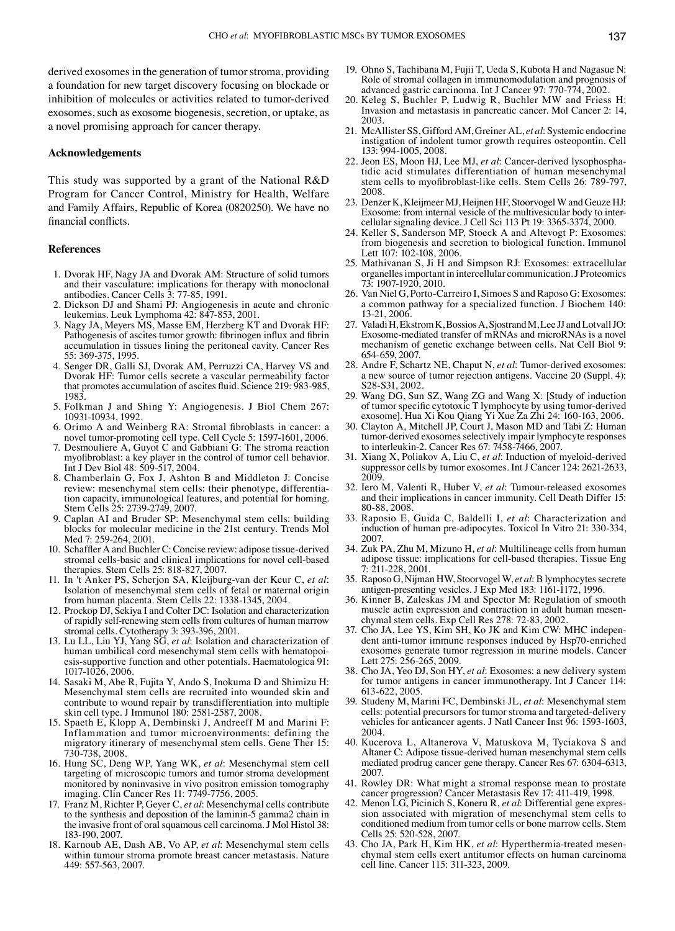derived exosomes in the generation of tumor stroma, providing a foundation for new target discovery focusing on blockade or inhibition of molecules or activities related to tumor-derived exosomes, such as exosome biogenesis, secretion, or uptake, as a novel promising approach for cancer therapy.

## **Acknowledgements**

This study was supported by a grant of the National R&D Program for Cancer Control, Ministry for Health, Welfare and Family Affairs, Republic of Korea (0820250). We have no financial conflicts.

## **References**

- 1. Dvorak HF, Nagy JA and Dvorak AM: Structure of solid tumors and their vasculature: implications for therapy with monoclonal antibodies. Cancer Cells 3: 77-85, 1991.
- 2. Dickson DJ and Shami PJ: Angiogenesis in acute and chronic leukemias. Leuk Lymphoma 42: 847-853, 2001.
- 3. Nagy JA, Meyers MS, Masse EM, Herzberg KT and Dvorak HF: Pathogenesis of ascites tumor growth: fibrinogen influx and fibrin accumulation in tissues lining the peritoneal cavity. Cancer Res 55: 369-375, 1995.
- 4. Senger DR, Galli SJ, Dvorak AM, Perruzzi CA, Harvey VS and Dvorak HF: Tumor cells secrete a vascular permeability factor that promotes accumulation of ascites fluid. Science 219: 983-985, 1983.
- 5. Folkman J and Shing Y: Angiogenesis. J Biol Chem 267: 10931‑10934, 1992.
- 6. Orimo A and Weinberg RA: Stromal fibroblasts in cancer: a novel tumor-promoting cell type. Cell Cycle 5: 1597-1601, 2006.
- 7. Desmouliere A, Guyot C and Gabbiani G: The stroma reaction myofibroblast: a key player in the control of tumor cell behavior. Int J Dev Biol 48: 509-517, 2004.
- 8. Chamberlain G, Fox J, Ashton B and Middleton J: Concise review: mesenchymal stem cells: their phenotype, differentiation capacity, immunological features, and potential for homing. Stem Cells 25: 2739-2749, 2007.
- Caplan AI and Bruder SP: Mesenchymal stem cells: building blocks for molecular medicine in the 21st century. Trends Mol Med 7: 259-264, 2001.
- 10. Schaffler A and Buchler C: Concise review: adipose tissue-derived stromal cells-basic and clinical implications for novel cell-based therapies. Stem Cells 25: 818-827, 2007.
- 11. In 't Anker PS, Scherjon SA, Kleijburg-van der Keur C, *et al*: Isolation of mesenchymal stem cells of fetal or maternal origin from human placenta. Stem Cells 22: 1338-1345, 2004.
- 12. Prockop DJ, Sekiya I and Colter DC: Isolation and characterization of rapidly self-renewing stem cells from cultures of human marrow stromal cells. Cytotherapy 3: 393-396, 2001.
- 13. Lu LL, Liu YJ, Yang SG, *et al*: Isolation and characterization of human umbilical cord mesenchymal stem cells with hematopoiesis-supportive function and other potentials. Haematologica 91: 1017-1026, 2006.
- 14. Sasaki M, Abe R, Fujita Y, Ando S, Inokuma D and Shimizu H: Mesenchymal stem cells are recruited into wounded skin and contribute to wound repair by transdifferentiation into multiple skin cell type. J Immunol 180: 2581-2587, 2008.
- 15. Spaeth E, Klopp A, Dembinski J, Andreeff M and Marini F: Inflammation and tumor microenvironments: defining the migratory itinerary of mesenchymal stem cells. Gene Ther 15: 730-738, 2008.
- 16. Hung SC, Deng WP, Yang WK, *et al*: Mesenchymal stem cell targeting of microscopic tumors and tumor stroma development monitored by noninvasive in vivo positron emission tomography imaging. Clin Cancer Res 11: 7749-7756, 2005.
- 17. Franz M, Richter P, Geyer C, *et al*: Mesenchymal cells contribute to the synthesis and deposition of the laminin-5 gamma2 chain in the invasive front of oral squamous cell carcinoma. J Mol Histol 38: 183-190, 2007.
- 18. Karnoub AE, Dash AB, Vo AP, *et al*: Mesenchymal stem cells within tumour stroma promote breast cancer metastasis. Nature 449: 557-563, 2007.
- 19. Ohno S, Tachibana M, Fujii T, Ueda S, Kubota H and Nagasue N: Role of stromal collagen in immunomodulation and prognosis of advanced gastric carcinoma. Int J Cancer 97: 770-774, 2002.
- 20. Keleg S, Buchler P, Ludwig R, Buchler MW and Friess H: Invasion and metastasis in pancreatic cancer. Mol Cancer 2: 14, 2003.
- 21. McAllister SS, Gifford AM, Greiner AL, *et al*: Systemic endocrine instigation of indolent tumor growth requires osteopontin. Cell 133: 994-1005, 2008.
- 22. Jeon ES, Moon HJ, Lee MJ, *et al*: Cancer-derived lysophosphatidic acid stimulates differentiation of human mesenchymal stem cells to myofibroblast-like cells. Stem Cells 26: 789-797, 2008.
- 23. Denzer K, Kleijmeer MJ, Heijnen HF, Stoorvogel W and Geuze HJ: Exosome: from internal vesicle of the multivesicular body to intercellular signaling device. J Cell Sci 113 Pt 19: 3365-3374, 2000.
- 24. Keller S, Sanderson MP, Stoeck A and Altevogt P: Exosomes: from biogenesis and secretion to biological function. Immunol Lett 107: 102-108, 2006.
- 25. Mathivanan S, Ji H and Simpson RJ: Exosomes: extracellular organelles important in intercellular communication. J Proteomics 73: 1907-1920, 2010.
- 26. Van Niel G, Porto-Carreiro I, Simoes S and Raposo G: Exosomes: a common pathway for a specialized function. J Biochem 140: 13-21, 2006.
- 27. Valadi H, Ekstrom K, Bossios A, Sjostrand M, Lee JJ and LotvallJO: Exosome-mediated transfer of mRNAs and microRNAs is a novel mechanism of genetic exchange between cells. Nat Cell Biol 9: 654-659, 2007.
- 28. Andre F, Schartz NE, Chaput N, *et al*: Tumor-derived exosomes: a new source of tumor rejection antigens. Vaccine 20 (Suppl. 4): S28-S31, 2002.
- 29. Wang DG, Sun SZ, Wang ZG and Wang X: [Study of induction of tumor specific cytotoxic T lymphocyte by using tumor-derived exosome]. Hua Xi Kou Qiang Yi Xue Za Zhi 24: 160-163, 2006.
- 30. Clayton A, Mitchell JP, Court J, Mason MD and Tabi Z: Human tumor-derived exosomes selectively impair lymphocyte responses to interleukin-2. Cancer Res 67: 7458-7466, 2007.
- 31. Xiang X, Poliakov A, Liu C, *et al*: Induction of myeloid-derived suppressor cells by tumor exosomes. Int J Cancer 124: 2621-2633, 2009.
- 32. Iero M, Valenti R, Huber V, *et al*: Tumour-released exosomes and their implications in cancer immunity. Cell Death Differ 15: 80-88, 2008.
- 33. Raposio E, Guida C, Baldelli I, *et al*: Characterization and induction of human pre-adipocytes. Toxicol In Vitro 21: 330-334, 2007.
- 34. Zuk PA, Zhu M, Mizuno H, *et al*: Multilineage cells from human adipose tissue: implications for cell-based therapies. Tissue Eng 7: 211-228, 2001.
- 35. Raposo G, Nijman HW, Stoorvogel W, *et al*: B lymphocytes secrete antigen-presenting vesicles. J Exp Med 183: 1161-1172, 1996.
- 36. Kinner B, Zaleskas JM and Spector M: Regulation of smooth muscle actin expression and contraction in adult human mesen- chymal stem cells. Exp Cell Res 278: 72-83, 2002.
- 37. Cho JA, Lee YS, Kim SH, Ko JK and Kim CW: MHC indepen- dent anti-tumor immune responses induced by Hsp70-enriched exosomes generate tumor regression in murine models. Cancer Lett 275: 256-265, 2009.
- 38. Cho JA, Yeo DJ, Son HY, *et al*: Exosomes: a new delivery system for tumor antigens in cancer immunotherapy. Int J Cancer 114: 613-622, 2005.
- 39. Studeny M, Marini FC, Dembinski JL, *et al*: Mesenchymal stem cells: potential precursors for tumor stroma and targeted-delivery vehicles for anticancer agents. J Natl Cancer Inst 96: 1593-1603, 2004.
- 40. Kucerova L, Altanerova V, Matuskova M, Tyciakova S and Altaner C: Adipose tissue-derived human mesenchymal stem cells mediated prodrug cancer gene therapy. Cancer Res 67: 6304-6313, 2007.
- 41. Rowley DR: What might a stromal response mean to prostate cancer progression? Cancer Metastasis Rev 17: 411-419, 1998.
- 42. Menon LG, Picinich S, Koneru R, *et al*: Differential gene expression associated with migration of mesenchymal stem cells to conditioned medium from tumor cells or bone marrow cells. Stem Cells 25: 520-528, 2007.<br>43. Cho JA, Park H, Kim HK, et al: Hyperthermia-treated mesen-
- chymal stem cells exert antitumor effects on human carcinoma cell line. Cancer 115: 311-323, 2009.